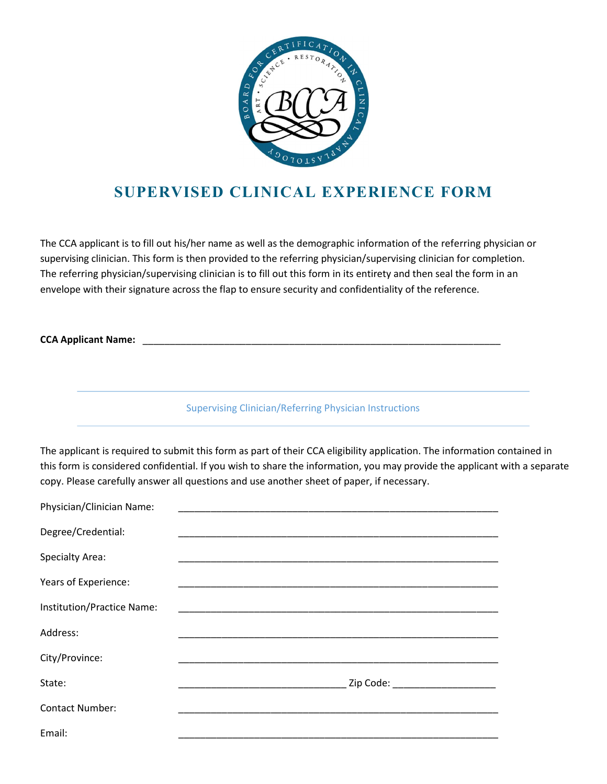

## SUPERVISED CLINICAL EXPERIENCE FORM

The CCA applicant is to fill out his/her name as well as the demographic information of the referring physician or supervising clinician. This form is then provided to the referring physician/supervising clinician for completion. The referring physician/supervising clinician is to fill out this form in its entirety and then seal the form in an envelope with their signature across the flap to ensure security and confidentiality of the reference.

CCA Applicant Name:

Supervising Clinician/Referring Physician Instructions

The applicant is required to submit this form as part of their CCA eligibility application. The information contained in this form is considered confidential. If you wish to share the information, you may provide the applicant with a separate copy. Please carefully answer all questions and use another sheet of paper, if necessary.

| Physician/Clinician Name:  |                                                                                                                      |
|----------------------------|----------------------------------------------------------------------------------------------------------------------|
| Degree/Credential:         |                                                                                                                      |
| <b>Specialty Area:</b>     |                                                                                                                      |
| Years of Experience:       |                                                                                                                      |
| Institution/Practice Name: | <u> 1989 - Johann John Stein, markin fan it ferskearre fan it ferskearre fan it ferskearre fan it ferskearre fan</u> |
| Address:                   |                                                                                                                      |
| City/Province:             |                                                                                                                      |
| State:                     | Zip Code: ______________________                                                                                     |
| <b>Contact Number:</b>     |                                                                                                                      |
| Email:                     |                                                                                                                      |